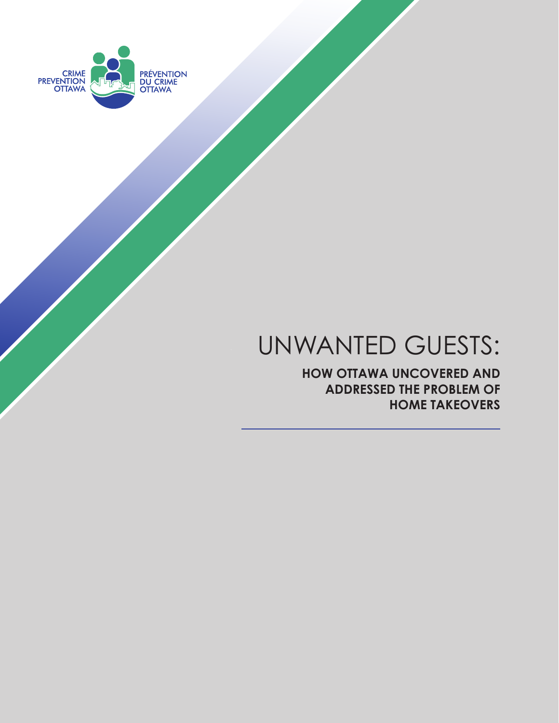

# UNWANTED GUESTS:

**HOW OTTAWA UNCOVERED AND ADDRESSED THE PROBLEM OF HOME TAKEOVERS**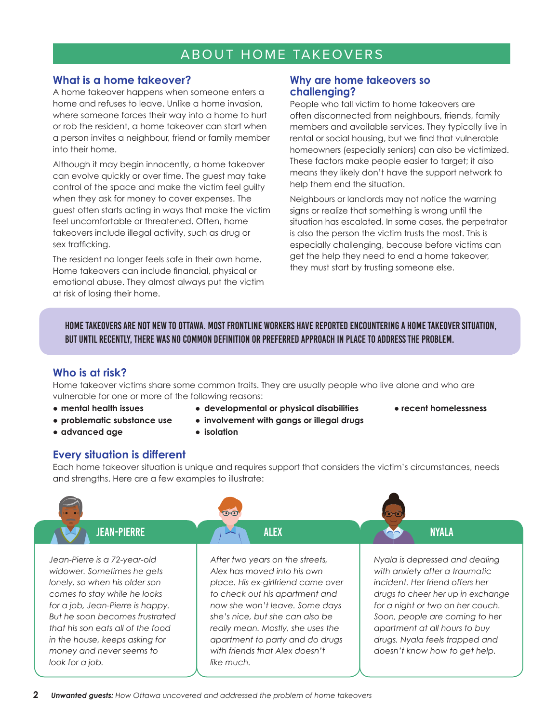# ABOUT HOME TAKEOVERS

## **What is a home takeover?**

A home takeover happens when someone enters a home and refuses to leave. Unlike a home invasion, where someone forces their way into a home to hurt or rob the resident, a home takeover can start when a person invites a neighbour, friend or family member into their home.

Although it may begin innocently, a home takeover can evolve quickly or over time. The guest may take control of the space and make the victim feel guilty when they ask for money to cover expenses. The guest often starts acting in ways that make the victim feel uncomfortable or threatened. Often, home takeovers include illegal activity, such as drug or sex trafficking.

The resident no longer feels safe in their own home. Home takeovers can include financial, physical or emotional abuse. They almost always put the victim at risk of losing their home.

## **Why are home takeovers so challenging?**

People who fall victim to home takeovers are often disconnected from neighbours, friends, family members and available services. They typically live in rental or social housing, but we find that vulnerable homeowners (especially seniors) can also be victimized. These factors make people easier to target; it also means they likely don't have the support network to help them end the situation.

Neighbours or landlords may not notice the warning signs or realize that something is wrong until the situation has escalated. In some cases, the perpetrator is also the person the victim trusts the most. This is especially challenging, because before victims can get the help they need to end a home takeover, they must start by trusting someone else.

Home takeovers are not new to Ottawa. Most frontline workers have reported encountering a home takeover situation, but until recently, there was no common definition or preferred approach in place to address the problem.

# **Who is at risk?**

Home takeover victims share some common traits. They are usually people who live alone and who are vulnerable for one or more of the following reasons:

- 
- 
- **● advanced age ● isolation**
- **● mental health issues ● developmental or physical disabilities ● recent homelessness**
	-
- **● problematic substance use ● involvement with gangs or illegal drugs**
	-

## **Every situation is different**

Each home takeover situation is unique and requires support that considers the victim's circumstances, needs and strengths. Here are a few examples to illustrate:

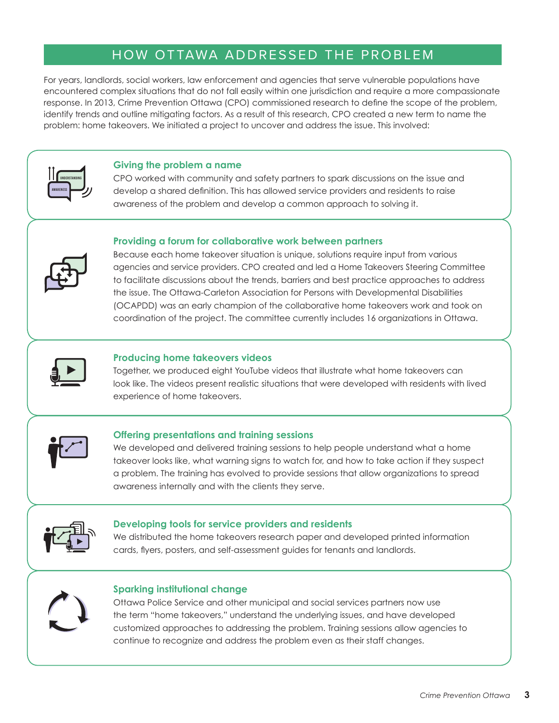# HOW OTTAWA ADDRESSED THE PROBLEM

For years, landlords, social workers, law enforcement and agencies that serve vulnerable populations have encountered complex situations that do not fall easily within one jurisdiction and require a more compassionate response. In 2013, Crime Prevention Ottawa (CPO) commissioned research to define the scope of the problem, identify trends and outline mitigating factors. As a result of this research, CPO created a new term to name the problem: home takeovers. We initiated a project to uncover and address the issue. This involved:



#### **Giving the problem a name**

CPO worked with community and safety partners to spark discussions on the issue and develop a shared definition. This has allowed service providers and residents to raise awareness of the problem and develop a common approach to solving it.

#### **Providing a forum for collaborative work between partners**



Because each home takeover situation is unique, solutions require input from various agencies and service providers. CPO created and led a Home Takeovers Steering Committee to facilitate discussions about the trends, barriers and best practice approaches to address the issue. The Ottawa-Carleton Association for Persons with Developmental Disabilities (OCAPDD) was an early champion of the collaborative home takeovers work and took on coordination of the project. The committee currently includes 16 organizations in Ottawa.



#### **Producing home takeovers videos**

Together, we produced eight YouTube videos that illustrate what home takeovers can look like. The videos present realistic situations that were developed with residents with lived experience of home takeovers.



#### **Offering presentations and training sessions**

We developed and delivered training sessions to help people understand what a home takeover looks like, what warning signs to watch for, and how to take action if they suspect a problem. The training has evolved to provide sessions that allow organizations to spread awareness internally and with the clients they serve.



#### **Developing tools for service providers and residents**

We distributed the home takeovers research paper and developed printed information cards, flyers, posters, and self-assessment guides for tenants and landlords.



#### **Sparking institutional change**

Ottawa Police Service and other municipal and social services partners now use the term "home takeovers," understand the underlying issues, and have developed customized approaches to addressing the problem. Training sessions allow agencies to continue to recognize and address the problem even as their staff changes.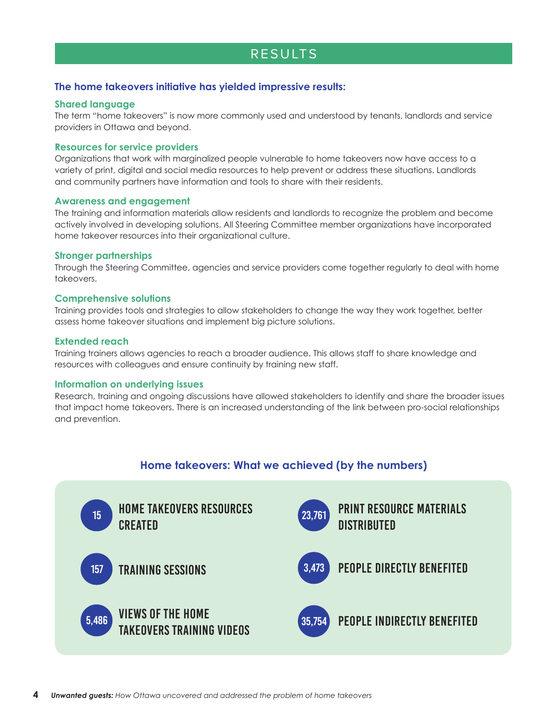# RESULTS

#### **The home takeovers initiative has yielded impressive results:**

#### **Shared language**

The term "home takeovers" is now more commonly used and understood by tenants, landlords and service providers in Ottawa and beyond.

#### **Resources for service providers**

Organizations that work with marginalized people vulnerable to home takeovers now have access to a variety of print, digital and social media resources to help prevent or address these situations. Landlords and community partners have information and tools to share with their residents.

#### **Awareness and engagement**

The training and information materials allow residents and landlords to recognize the problem and become actively involved in developing solutions. All Steering Committee member organizations have incorporated home takeover resources into their organizational culture.

#### **Stronger partnerships**

Through the Steering Committee, agencies and service providers come together regularly to deal with home takeovers.

#### **Comprehensive solutions**

Training provides tools and strategies to allow stakeholders to change the way they work together, better assess home takeover situations and implement big picture solutions.

#### **Extended reach**

Training trainers allows agencies to reach a broader audience. This allows staff to share knowledge and resources with colleagues and ensure continuity by training new staff.

#### **Information on underlying issues**

Research, training and ongoing discussions have allowed stakeholders to identify and share the broader issues that impact home takeovers. There is an increased understanding of the link between pro-social relationships and prevention.

# **Home takeovers: What we achieved (by the numbers)**

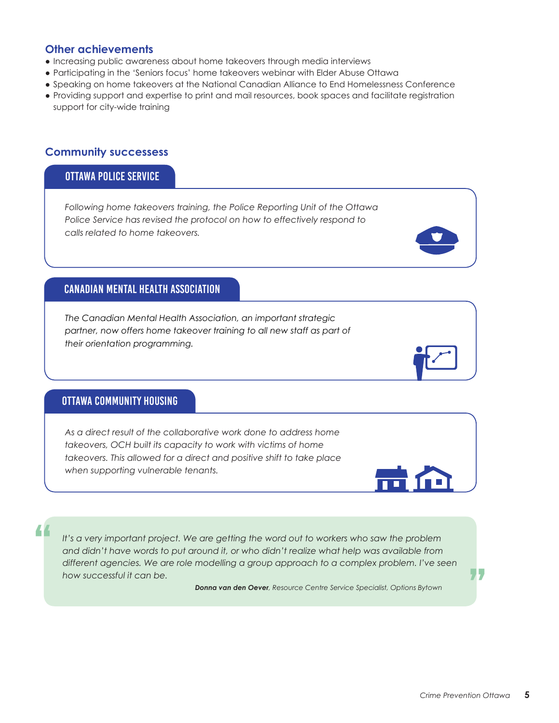## **Other achievements**

- Increasing public awareness about home takeovers through media interviews
- Participating in the 'Seniors focus' home takeovers webinar with Elder Abuse Ottawa
- Speaking on home takeovers at the National Canadian Alliance to End Homelessness Conference
- Providing support and expertise to print and mail resources, book spaces and facilitate registration support for city-wide training

# **Community successess**

# ottawa police service

*Following home takeovers training, the Police Reporting Unit of the Ottawa Police Service has revised the protocol on how to effectively respond to calls related to home takeovers.* 

# Canadian Mental Health Association

*The Canadian Mental Health Association, an important strategic*  partner, now offers home takeover training to all new staff as part of *their orientation programming.*

# ottawa community housing

"

*As a direct result of the collaborative work done to address home takeovers, OCH built its capacity to work with victims of home takeovers. This allowed for a direct and positive shift to take place when supporting vulnerable tenants.*

*It's a very important project. We are getting the word out to workers who saw the problem and didn't have words to put around it, or who didn't realize what help was available from different agencies. We are role modelling a group approach to a complex problem. I've seen how successful it can be.*

 *Donna van den Oever, Resource Centre Service Specialist, Options Bytown*

77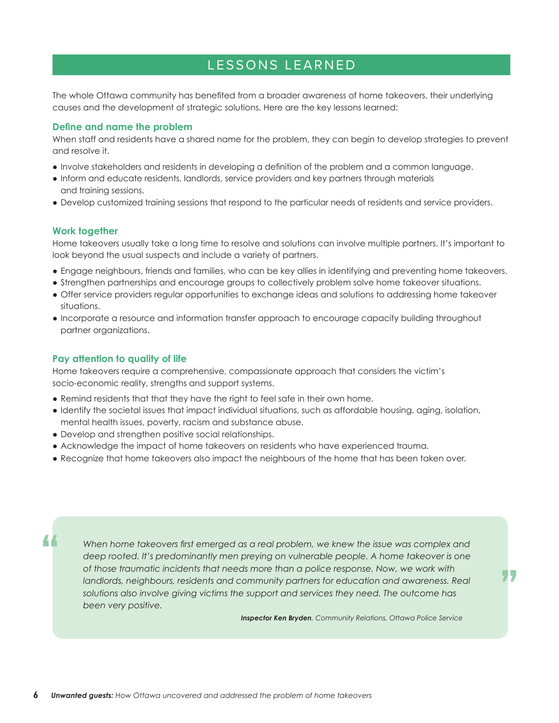# LESSONS LEARNED

The whole Ottawa community has benefited from a broader awareness of home takeovers, their underlying causes and the development of strategic solutions. Here are the key lessons learned:

#### **Define and name the problem**

When staff and residents have a shared name for the problem, they can begin to develop strategies to prevent and resolve it.

- Involve stakeholders and residents in developing a definition of the problem and a common language.
- Inform and educate residents, landlords, service providers and key partners through materials and training sessions.
- Develop customized training sessions that respond to the particular needs of residents and service providers.

#### **Work together**

"

Home takeovers usually take a long time to resolve and solutions can involve multiple partners. It's important to look beyond the usual suspects and include a variety of partners.

- Engage neighbours, friends and families, who can be key allies in identifying and preventing home takeovers.
- Strengthen partnerships and encourage groups to collectively problem solve home takeover situations.
- Offer service providers regular opportunities to exchange ideas and solutions to addressing home takeover situations.
- Incorporate a resource and information transfer approach to encourage capacity building throughout partner organizations.

#### **Pay attention to quality of life**

Home takeovers require a comprehensive, compassionate approach that considers the victim's socio-economic reality, strengths and support systems.

- Remind residents that that they have the right to feel safe in their own home.
- Identify the societal issues that impact individual situations, such as affordable housing, aging, isolation, mental health issues, poverty, racism and substance abuse.
- Develop and strengthen positive social relationships.
- Acknowledge the impact of home takeovers on residents who have experienced trauma.
- Recognize that home takeovers also impact the neighbours of the home that has been taken over.

*When home takeovers first emerged as a real problem, we knew the issue was complex and*  deep rooted. It's predominantly men preying on vulnerable people. A home takeover is one *of those traumatic incidents that needs more than a police response. Now, we work with landlords, neighbours, residents and community partners for education and awareness. Real solutions also involve giving victims the support and services they need. The outcome has been very positive.*

 *Inspector Ken Bryden, Community Relations, Ottawa Police Service*

"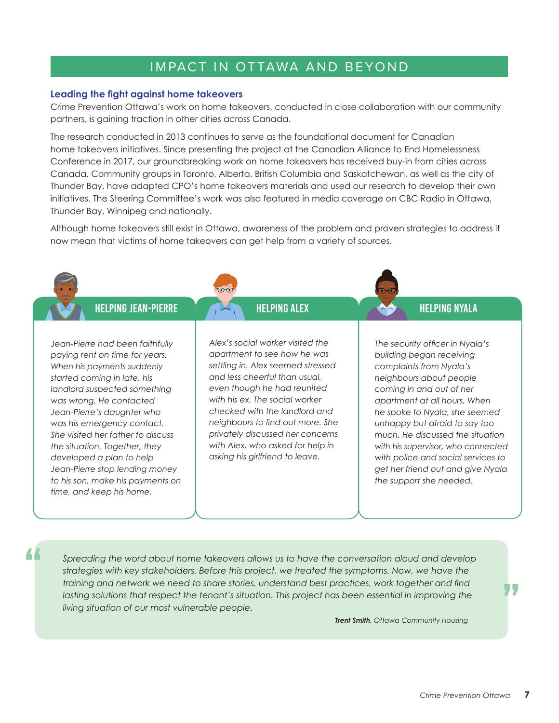# IMPACT IN OTTAWA AND BEYOND

#### **Leading the fight against home takeovers**

Crime Prevention Ottawa's work on home takeovers, conducted in close collaboration with our community partners, is gaining traction in other cities across Canada.

The research conducted in 2013 continues to serve as the foundational document for Canadian home takeovers initiatives. Since presenting the project at the Canadian Alliance to End Homelessness Conference in 2017, our groundbreaking work on home takeovers has received buy-in from cities across Canada. Community groups in Toronto, Alberta, British Columbia and Saskatchewan, as well as the city of Thunder Bay, have adapted CPO's home takeovers materials and used our research to develop their own initiatives. The Steering Committee's work was also featured in media coverage on CBC Radio in Ottawa, Thunder Bay, Winnipeg and nationally.

Although home takeovers still exist in Ottawa, awareness of the problem and proven strategies to address it now mean that victims of home takeovers can get help from a variety of sources.



"

*Spreading the word about home takeovers allows us to have the conversation aloud and develop strategies with key stakeholders. Before this project, we treated the symptoms. Now, we have the training and network we need to share stories, understand best practices, work together and find lasting solutions that respect the tenant's situation. This project has been essential in improving the living situation of our most vulnerable people.*

 *Trent Smith, Ottawa Community Housing*

"